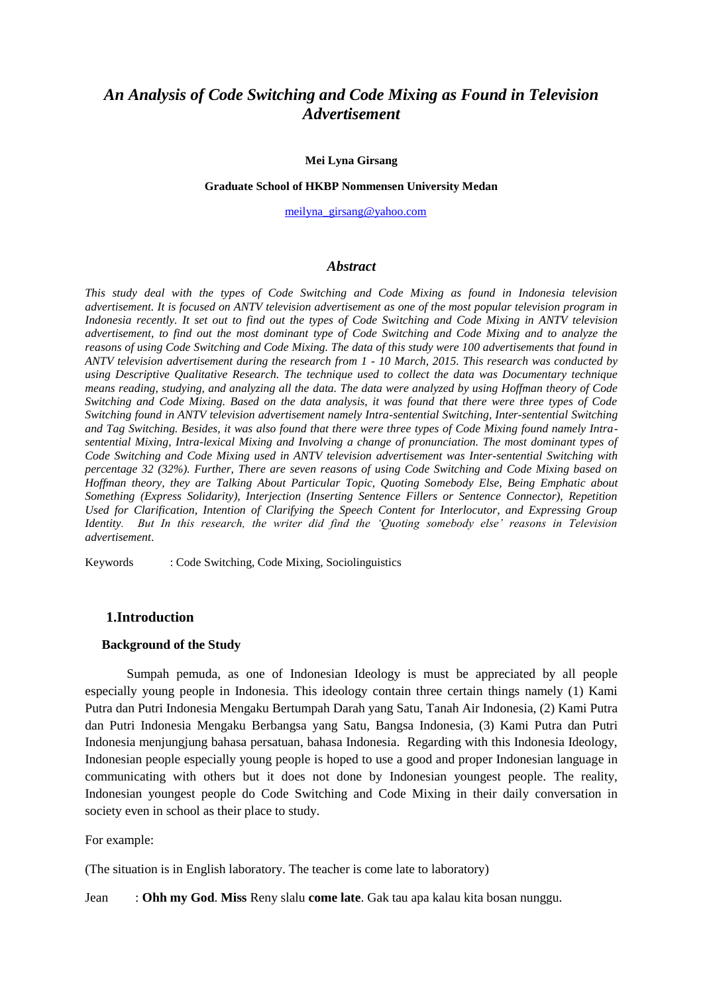# *An Analysis of Code Switching and Code Mixing as Found in Television Advertisement*

#### **Mei Lyna Girsang**

#### **Graduate School of HKBP Nommensen University Medan**

[meilyna\\_girsang@yahoo.com](mailto:meilyna_girsang@yahoo.com)

#### *Abstract*

*This study deal with the types of Code Switching and Code Mixing as found in Indonesia television advertisement. It is focused on ANTV television advertisement as one of the most popular television program in Indonesia recently. It set out to find out the types of Code Switching and Code Mixing in ANTV television advertisement, to find out the most dominant type of Code Switching and Code Mixing and to analyze the reasons of using Code Switching and Code Mixing. The data of this study were 100 advertisements that found in ANTV television advertisement during the research from 1 - 10 March, 2015. This research was conducted by using Descriptive Qualitative Research. The technique used to collect the data was Documentary technique means reading, studying, and analyzing all the data. The data were analyzed by using Hoffman theory of Code Switching and Code Mixing. Based on the data analysis, it was found that there were three types of Code Switching found in ANTV television advertisement namely Intra-sentential Switching, Inter-sentential Switching and Tag Switching. Besides, it was also found that there were three types of Code Mixing found namely Intrasentential Mixing, Intra-lexical Mixing and Involving a change of pronunciation. The most dominant types of Code Switching and Code Mixing used in ANTV television advertisement was Inter-sentential Switching with percentage 32 (32%). Further, There are seven reasons of using Code Switching and Code Mixing based on Hoffman theory, they are Talking About Particular Topic, Quoting Somebody Else, Being Emphatic about Something (Express Solidarity), Interjection (Inserting Sentence Fillers or Sentence Connector), Repetition Used for Clarification, Intention of Clarifying the Speech Content for Interlocutor, and Expressing Group Identity. But In this research, the writer did find the 'Quoting somebody else' reasons in Television advertisement*.

Keywords : Code Switching, Code Mixing, Sociolinguistics

## **1.Introduction**

#### **Background of the Study**

Sumpah pemuda, as one of Indonesian Ideology is must be appreciated by all people especially young people in Indonesia. This ideology contain three certain things namely (1) Kami Putra dan Putri Indonesia Mengaku Bertumpah Darah yang Satu, Tanah Air Indonesia, (2) Kami Putra dan Putri Indonesia Mengaku Berbangsa yang Satu, Bangsa Indonesia, (3) Kami Putra dan Putri Indonesia menjungjung bahasa persatuan, bahasa Indonesia. Regarding with this Indonesia Ideology, Indonesian people especially young people is hoped to use a good and proper Indonesian language in communicating with others but it does not done by Indonesian youngest people. The reality, Indonesian youngest people do Code Switching and Code Mixing in their daily conversation in society even in school as their place to study.

For example:

(The situation is in English laboratory. The teacher is come late to laboratory)

Jean : **Ohh my God**. **Miss** Reny slalu **come late**. Gak tau apa kalau kita bosan nunggu.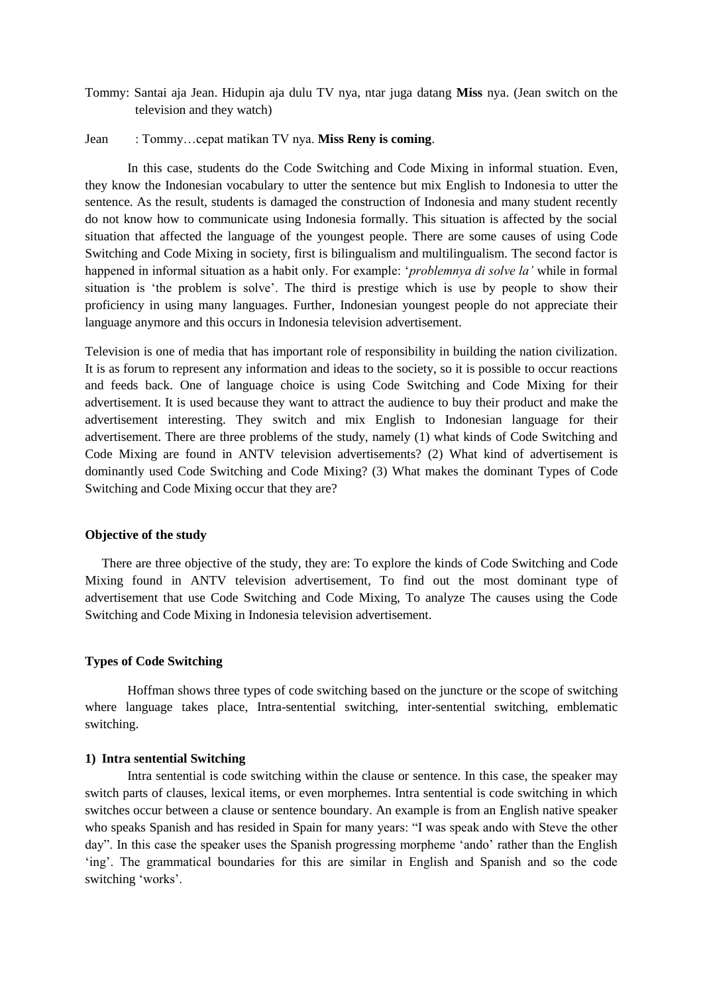Tommy: Santai aja Jean. Hidupin aja dulu TV nya, ntar juga datang **Miss** nya. (Jean switch on the television and they watch)

#### Jean : Tommy…cepat matikan TV nya. **Miss Reny is coming**.

In this case, students do the Code Switching and Code Mixing in informal stuation. Even, they know the Indonesian vocabulary to utter the sentence but mix English to Indonesia to utter the sentence. As the result, students is damaged the construction of Indonesia and many student recently do not know how to communicate using Indonesia formally. This situation is affected by the social situation that affected the language of the youngest people. There are some causes of using Code Switching and Code Mixing in society, first is bilingualism and multilingualism. The second factor is happened in informal situation as a habit only. For example: '*problemnya di solve la'* while in formal situation is 'the problem is solve'. The third is prestige which is use by people to show their proficiency in using many languages. Further, Indonesian youngest people do not appreciate their language anymore and this occurs in Indonesia television advertisement.

Television is one of media that has important role of responsibility in building the nation civilization. It is as forum to represent any information and ideas to the society, so it is possible to occur reactions and feeds back. One of language choice is using Code Switching and Code Mixing for their advertisement. It is used because they want to attract the audience to buy their product and make the advertisement interesting. They switch and mix English to Indonesian language for their advertisement. There are three problems of the study, namely (1) what kinds of Code Switching and Code Mixing are found in ANTV television advertisements? (2) What kind of advertisement is dominantly used Code Switching and Code Mixing? (3) What makes the dominant Types of Code Switching and Code Mixing occur that they are?

### **Objective of the study**

There are three objective of the study, they are: To explore the kinds of Code Switching and Code Mixing found in ANTV television advertisement, To find out the most dominant type of advertisement that use Code Switching and Code Mixing, To analyze The causes using the Code Switching and Code Mixing in Indonesia television advertisement.

#### **Types of Code Switching**

Hoffman shows three types of code switching based on the juncture or the scope of switching where language takes place, Intra-sentential switching, inter-sentential switching, emblematic switching.

#### **1) Intra sentential Switching**

Intra sentential is code switching within the clause or sentence. In this case, the speaker may switch parts of clauses, lexical items, or even morphemes. Intra sentential is code switching in which switches occur between a clause or sentence boundary. An example is from an English native speaker who speaks Spanish and has resided in Spain for many years: "I was speak ando with Steve the other day". In this case the speaker uses the Spanish progressing morpheme 'ando' rather than the English 'ing'. The grammatical boundaries for this are similar in English and Spanish and so the code switching 'works'.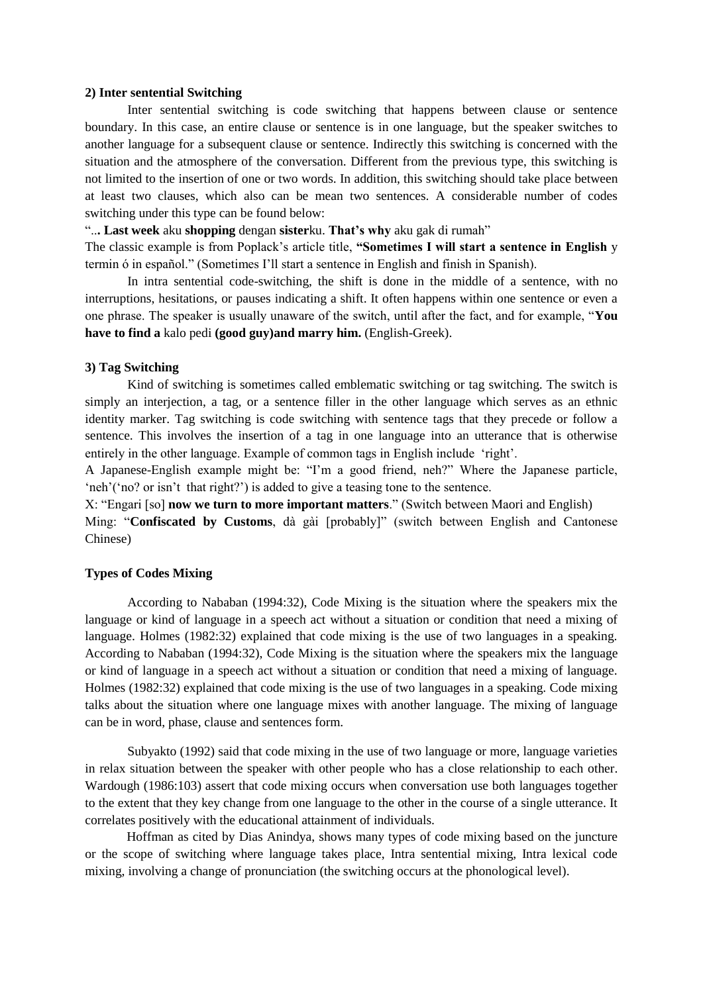#### **2) Inter sentential Switching**

Inter sentential switching is code switching that happens between clause or sentence boundary. In this case, an entire clause or sentence is in one language, but the speaker switches to another language for a subsequent clause or sentence. Indirectly this switching is concerned with the situation and the atmosphere of the conversation. Different from the previous type, this switching is not limited to the insertion of one or two words. In addition, this switching should take place between at least two clauses, which also can be mean two sentences. A considerable number of codes switching under this type can be found below:

"..**. Last week** aku **shopping** dengan **sister**ku. **That's why** aku gak di rumah"

The classic example is from Poplack's article title, **"Sometimes I will start a sentence in English** y termin ό in español." (Sometimes I'll start a sentence in English and finish in Spanish).

In intra sentential code-switching, the shift is done in the middle of a sentence, with no interruptions, hesitations, or pauses indicating a shift. It often happens within one sentence or even a one phrase. The speaker is usually unaware of the switch, until after the fact, and for example, "**You have to find a** kalo pedi **(good guy)and marry him.** (English-Greek).

#### **3) Tag Switching**

Kind of switching is sometimes called emblematic switching or tag switching. The switch is simply an interjection, a tag, or a sentence filler in the other language which serves as an ethnic identity marker. Tag switching is code switching with sentence tags that they precede or follow a sentence. This involves the insertion of a tag in one language into an utterance that is otherwise entirely in the other language. Example of common tags in English include 'right'.

A Japanese-English example might be: "I'm a good friend, neh?" Where the Japanese particle, 'neh'('no? or isn't that right?') is added to give a teasing tone to the sentence.

X: "Engari [so] **now we turn to more important matters**." (Switch between Maori and English) Ming: "**Confiscated by Customs**, dà gài [probably]" (switch between English and Cantonese Chinese)

### **Types of Codes Mixing**

According to Nababan (1994:32), Code Mixing is the situation where the speakers mix the language or kind of language in a speech act without a situation or condition that need a mixing of language. Holmes (1982:32) explained that code mixing is the use of two languages in a speaking. According to Nababan (1994:32), Code Mixing is the situation where the speakers mix the language or kind of language in a speech act without a situation or condition that need a mixing of language. Holmes (1982:32) explained that code mixing is the use of two languages in a speaking. Code mixing talks about the situation where one language mixes with another language. The mixing of language can be in word, phase, clause and sentences form.

Subyakto (1992) said that code mixing in the use of two language or more, language varieties in relax situation between the speaker with other people who has a close relationship to each other. Wardough (1986:103) assert that code mixing occurs when conversation use both languages together to the extent that they key change from one language to the other in the course of a single utterance. It correlates positively with the educational attainment of individuals.

Hoffman as cited by Dias Anindya, shows many types of code mixing based on the juncture or the scope of switching where language takes place, Intra sentential mixing, Intra lexical code mixing, involving a change of pronunciation (the switching occurs at the phonological level).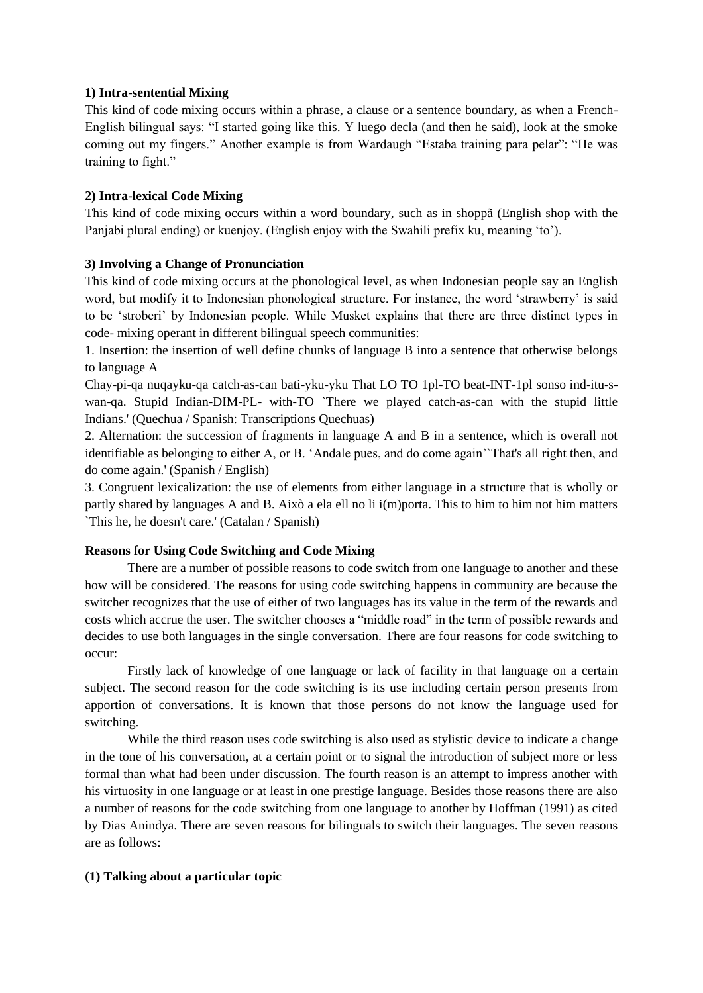## **1) Intra-sentential Mixing**

This kind of code mixing occurs within a phrase, a clause or a sentence boundary, as when a French-English bilingual says: "I started going like this. Y luego decla (and then he said), look at the smoke coming out my fingers." Another example is from Wardaugh "Estaba training para pelar": "He was training to fight."

## **2) Intra-lexical Code Mixing**

This kind of code mixing occurs within a word boundary, such as in shoppã (English shop with the Panjabi plural ending) or kuenjoy. (English enjoy with the Swahili prefix ku, meaning 'to').

## **3) Involving a Change of Pronunciation**

This kind of code mixing occurs at the phonological level, as when Indonesian people say an English word, but modify it to Indonesian phonological structure. For instance, the word 'strawberry' is said to be 'stroberi' by Indonesian people. While Musket explains that there are three distinct types in code- mixing operant in different bilingual speech communities:

1. Insertion: the insertion of well define chunks of language B into a sentence that otherwise belongs to language A

Chay-pi-qa nuqayku-qa catch-as-can bati-yku-yku That LO TO 1pl-TO beat-INT-1pl sonso ind-itu-swan-qa. Stupid Indian-DIM-PL- with-TO `There we played catch-as-can with the stupid little Indians.' (Quechua / Spanish: Transcriptions Quechuas)

2. Alternation: the succession of fragments in language A and B in a sentence, which is overall not identifiable as belonging to either A, or B. 'Andale pues, and do come again'`That's all right then, and do come again.' (Spanish / English)

3. Congruent lexicalization: the use of elements from either language in a structure that is wholly or partly shared by languages A and B. Això a ela ell no li i(m)porta. This to him to him not him matters `This he, he doesn't care.' (Catalan / Spanish)

### **Reasons for Using Code Switching and Code Mixing**

There are a number of possible reasons to code switch from one language to another and these how will be considered. The reasons for using code switching happens in community are because the switcher recognizes that the use of either of two languages has its value in the term of the rewards and costs which accrue the user. The switcher chooses a "middle road" in the term of possible rewards and decides to use both languages in the single conversation. There are four reasons for code switching to occur:

Firstly lack of knowledge of one language or lack of facility in that language on a certain subject. The second reason for the code switching is its use including certain person presents from apportion of conversations. It is known that those persons do not know the language used for switching.

While the third reason uses code switching is also used as stylistic device to indicate a change in the tone of his conversation, at a certain point or to signal the introduction of subject more or less formal than what had been under discussion. The fourth reason is an attempt to impress another with his virtuosity in one language or at least in one prestige language. Besides those reasons there are also a number of reasons for the code switching from one language to another by Hoffman (1991) as cited by Dias Anindya. There are seven reasons for bilinguals to switch their languages. The seven reasons are as follows:

### **(1) Talking about a particular topic**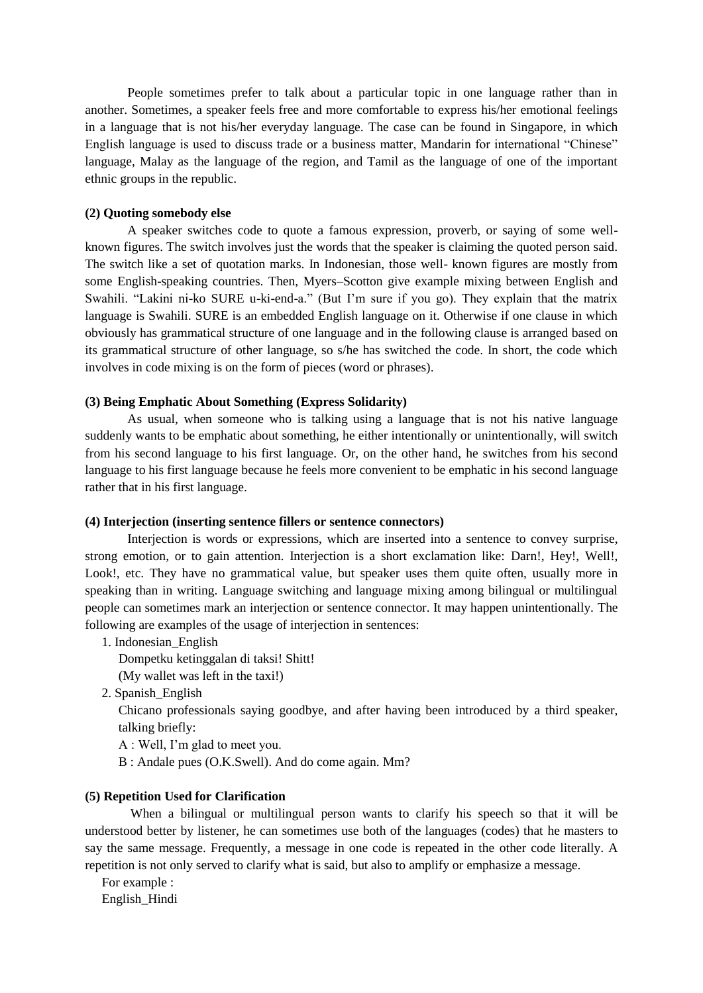People sometimes prefer to talk about a particular topic in one language rather than in another. Sometimes, a speaker feels free and more comfortable to express his/her emotional feelings in a language that is not his/her everyday language. The case can be found in Singapore, in which English language is used to discuss trade or a business matter, Mandarin for international "Chinese" language, Malay as the language of the region, and Tamil as the language of one of the important ethnic groups in the republic.

### **(2) Quoting somebody else**

A speaker switches code to quote a famous expression, proverb, or saying of some wellknown figures. The switch involves just the words that the speaker is claiming the quoted person said. The switch like a set of quotation marks. In Indonesian, those well- known figures are mostly from some English-speaking countries. Then, Myers–Scotton give example mixing between English and Swahili. "Lakini ni-ko SURE u-ki-end-a." (But I'm sure if you go). They explain that the matrix language is Swahili. SURE is an embedded English language on it. Otherwise if one clause in which obviously has grammatical structure of one language and in the following clause is arranged based on its grammatical structure of other language, so s/he has switched the code. In short, the code which involves in code mixing is on the form of pieces (word or phrases).

#### **(3) Being Emphatic About Something (Express Solidarity)**

As usual, when someone who is talking using a language that is not his native language suddenly wants to be emphatic about something, he either intentionally or unintentionally, will switch from his second language to his first language. Or, on the other hand, he switches from his second language to his first language because he feels more convenient to be emphatic in his second language rather that in his first language.

### **(4) Interjection (inserting sentence fillers or sentence connectors)**

Interjection is words or expressions, which are inserted into a sentence to convey surprise, strong emotion, or to gain attention. Interjection is a short exclamation like: Darn!, Hey!, Well!, Look!, etc. They have no grammatical value, but speaker uses them quite often, usually more in speaking than in writing. Language switching and language mixing among bilingual or multilingual people can sometimes mark an interjection or sentence connector. It may happen unintentionally. The following are examples of the usage of interjection in sentences:

#### 1. Indonesian\_English

Dompetku ketinggalan di taksi! Shitt!

- (My wallet was left in the taxi!)
- 2. Spanish\_English

Chicano professionals saying goodbye, and after having been introduced by a third speaker, talking briefly:

- A : Well, I'm glad to meet you.
- B : Andale pues (O.K.Swell). And do come again. Mm?

### **(5) Repetition Used for Clarification**

When a bilingual or multilingual person wants to clarify his speech so that it will be understood better by listener, he can sometimes use both of the languages (codes) that he masters to say the same message. Frequently, a message in one code is repeated in the other code literally. A repetition is not only served to clarify what is said, but also to amplify or emphasize a message.

For example :

English\_Hindi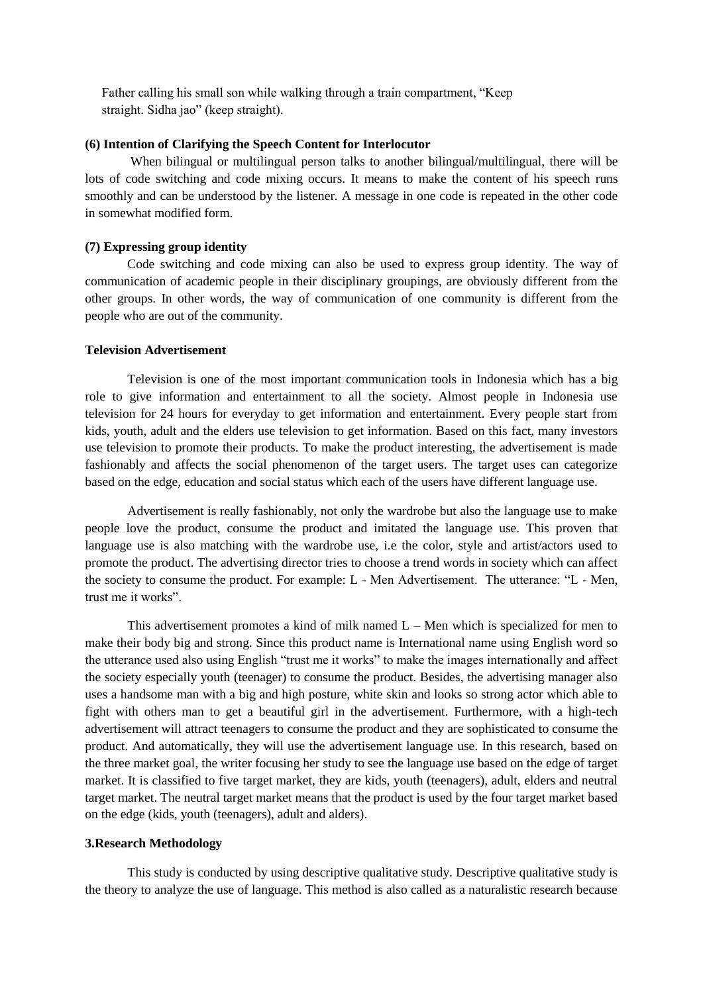Father calling his small son while walking through a train compartment, "Keep straight. Sidha jao" (keep straight).

### **(6) Intention of Clarifying the Speech Content for Interlocutor**

When bilingual or multilingual person talks to another bilingual/multilingual, there will be lots of code switching and code mixing occurs. It means to make the content of his speech runs smoothly and can be understood by the listener. A message in one code is repeated in the other code in somewhat modified form.

#### **(7) Expressing group identity**

 Code switching and code mixing can also be used to express group identity. The way of communication of academic people in their disciplinary groupings, are obviously different from the other groups. In other words, the way of communication of one community is different from the people who are out of the community.

#### **Television Advertisement**

Television is one of the most important communication tools in Indonesia which has a big role to give information and entertainment to all the society. Almost people in Indonesia use television for 24 hours for everyday to get information and entertainment. Every people start from kids, youth, adult and the elders use television to get information. Based on this fact, many investors use television to promote their products. To make the product interesting, the advertisement is made fashionably and affects the social phenomenon of the target users. The target uses can categorize based on the edge, education and social status which each of the users have different language use.

Advertisement is really fashionably, not only the wardrobe but also the language use to make people love the product, consume the product and imitated the language use. This proven that language use is also matching with the wardrobe use, i.e the color, style and artist/actors used to promote the product. The advertising director tries to choose a trend words in society which can affect the society to consume the product. For example: L - Men Advertisement. The utterance: "L - Men, trust me it works".

This advertisement promotes a kind of milk named  $L -$  Men which is specialized for men to make their body big and strong. Since this product name is International name using English word so the utterance used also using English "trust me it works" to make the images internationally and affect the society especially youth (teenager) to consume the product. Besides, the advertising manager also uses a handsome man with a big and high posture, white skin and looks so strong actor which able to fight with others man to get a beautiful girl in the advertisement. Furthermore, with a high-tech advertisement will attract teenagers to consume the product and they are sophisticated to consume the product. And automatically, they will use the advertisement language use. In this research, based on the three market goal, the writer focusing her study to see the language use based on the edge of target market. It is classified to five target market, they are kids, youth (teenagers), adult, elders and neutral target market. The neutral target market means that the product is used by the four target market based on the edge (kids, youth (teenagers), adult and alders).

#### **3.Research Methodology**

This study is conducted by using descriptive qualitative study. Descriptive qualitative study is the theory to analyze the use of language. This method is also called as a naturalistic research because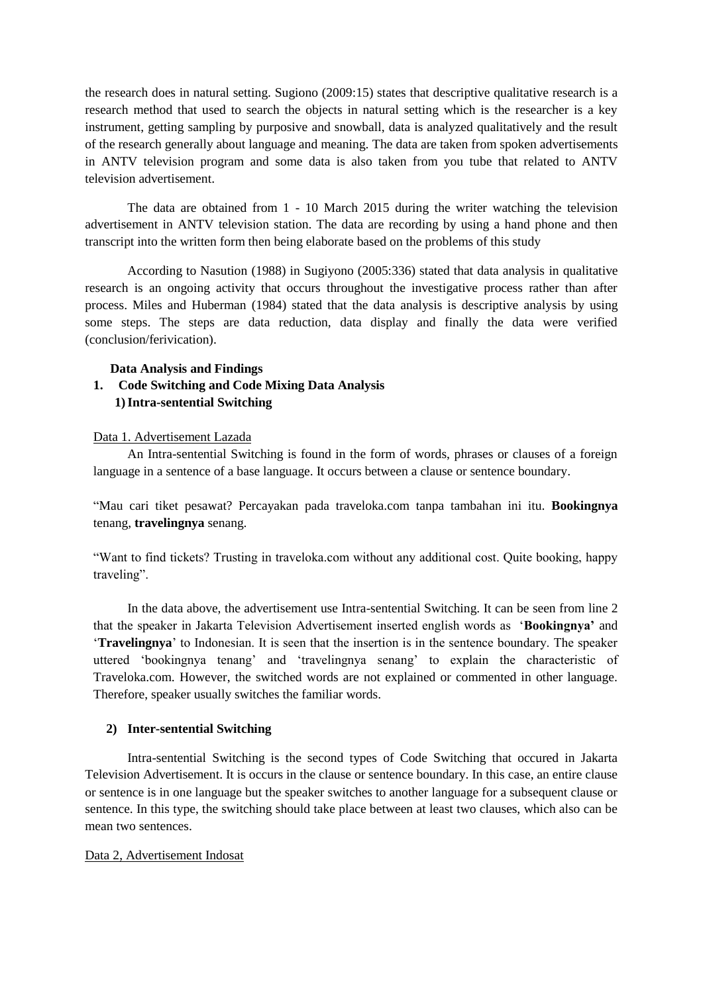the research does in natural setting. Sugiono (2009:15) states that descriptive qualitative research is a research method that used to search the objects in natural setting which is the researcher is a key instrument, getting sampling by purposive and snowball, data is analyzed qualitatively and the result of the research generally about language and meaning. The data are taken from spoken advertisements in ANTV television program and some data is also taken from you tube that related to ANTV television advertisement.

The data are obtained from 1 - 10 March 2015 during the writer watching the television advertisement in ANTV television station. The data are recording by using a hand phone and then transcript into the written form then being elaborate based on the problems of this study

According to Nasution (1988) in Sugiyono (2005:336) stated that data analysis in qualitative research is an ongoing activity that occurs throughout the investigative process rather than after process. Miles and Huberman (1984) stated that the data analysis is descriptive analysis by using some steps. The steps are data reduction, data display and finally the data were verified (conclusion/ferivication).

### **Data Analysis and Findings**

# **1. Code Switching and Code Mixing Data Analysis 1)Intra-sentential Switching**

## Data 1. Advertisement Lazada

An Intra-sentential Switching is found in the form of words, phrases or clauses of a foreign language in a sentence of a base language. It occurs between a clause or sentence boundary.

"Mau cari tiket pesawat? Percayakan pada traveloka.com tanpa tambahan ini itu. **Bookingnya** tenang, **travelingnya** senang.

"Want to find tickets? Trusting in traveloka.com without any additional cost. Quite booking, happy traveling".

In the data above, the advertisement use Intra-sentential Switching. It can be seen from line 2 that the speaker in Jakarta Television Advertisement inserted english words as '**Bookingnya'** and '**Travelingnya**' to Indonesian. It is seen that the insertion is in the sentence boundary. The speaker uttered 'bookingnya tenang' and 'travelingnya senang' to explain the characteristic of Traveloka.com. However, the switched words are not explained or commented in other language. Therefore, speaker usually switches the familiar words.

### **2) Inter-sentential Switching**

Intra-sentential Switching is the second types of Code Switching that occured in Jakarta Television Advertisement. It is occurs in the clause or sentence boundary. In this case, an entire clause or sentence is in one language but the speaker switches to another language for a subsequent clause or sentence. In this type, the switching should take place between at least two clauses, which also can be mean two sentences.

## Data 2, Advertisement Indosat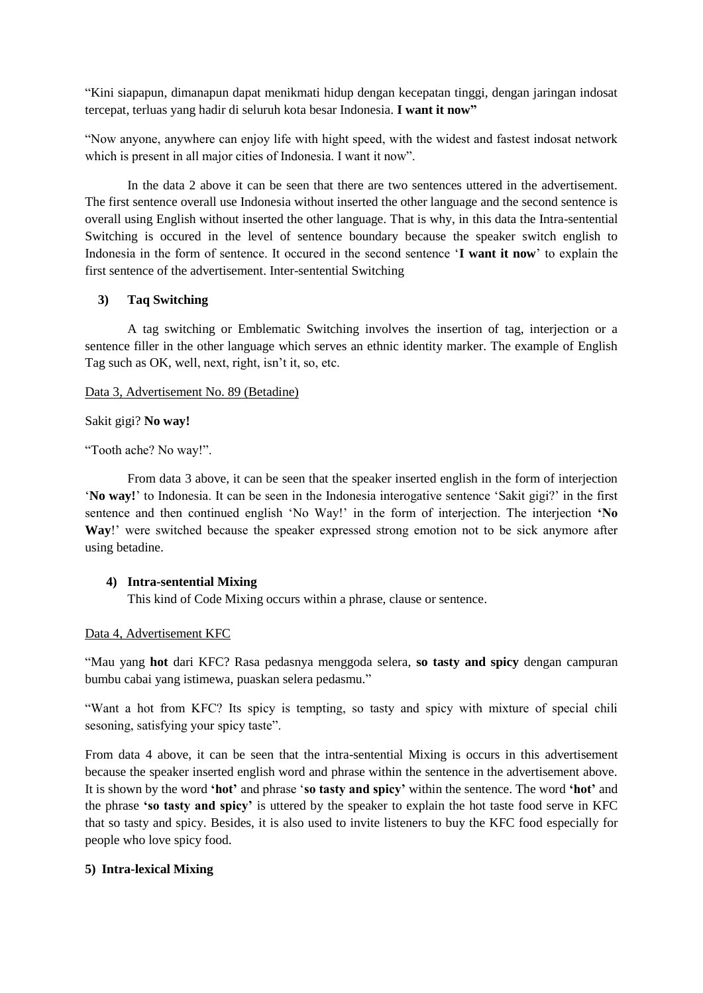"Kini siapapun, dimanapun dapat menikmati hidup dengan kecepatan tinggi, dengan jaringan indosat tercepat, terluas yang hadir di seluruh kota besar Indonesia. **I want it now"**

"Now anyone, anywhere can enjoy life with hight speed, with the widest and fastest indosat network which is present in all major cities of Indonesia. I want it now".

In the data 2 above it can be seen that there are two sentences uttered in the advertisement. The first sentence overall use Indonesia without inserted the other language and the second sentence is overall using English without inserted the other language. That is why, in this data the Intra-sentential Switching is occured in the level of sentence boundary because the speaker switch english to Indonesia in the form of sentence. It occured in the second sentence '**I want it now**' to explain the first sentence of the advertisement. Inter-sentential Switching

## **3) Taq Switching**

A tag switching or Emblematic Switching involves the insertion of tag, interjection or a sentence filler in the other language which serves an ethnic identity marker. The example of English Tag such as OK, well, next, right, isn't it, so, etc.

### Data 3, Advertisement No. 89 (Betadine)

### Sakit gigi? **No way!**

"Tooth ache? No way!".

From data 3 above, it can be seen that the speaker inserted english in the form of interjection '**No way!**' to Indonesia. It can be seen in the Indonesia interogative sentence 'Sakit gigi?' in the first sentence and then continued english 'No Way!' in the form of interjection. The interjection **'No Way**!' were switched because the speaker expressed strong emotion not to be sick anymore after using betadine.

### **4) Intra-sentential Mixing**

This kind of Code Mixing occurs within a phrase, clause or sentence.

### Data 4, Advertisement KFC

"Mau yang **hot** dari KFC? Rasa pedasnya menggoda selera, **so tasty and spicy** dengan campuran bumbu cabai yang istimewa, puaskan selera pedasmu."

"Want a hot from KFC? Its spicy is tempting, so tasty and spicy with mixture of special chili sesoning, satisfying your spicy taste".

From data 4 above, it can be seen that the intra-sentential Mixing is occurs in this advertisement because the speaker inserted english word and phrase within the sentence in the advertisement above. It is shown by the word **'hot'** and phrase '**so tasty and spicy'** within the sentence. The word **'hot'** and the phrase **'so tasty and spicy'** is uttered by the speaker to explain the hot taste food serve in KFC that so tasty and spicy. Besides, it is also used to invite listeners to buy the KFC food especially for people who love spicy food.

### **5) Intra-lexical Mixing**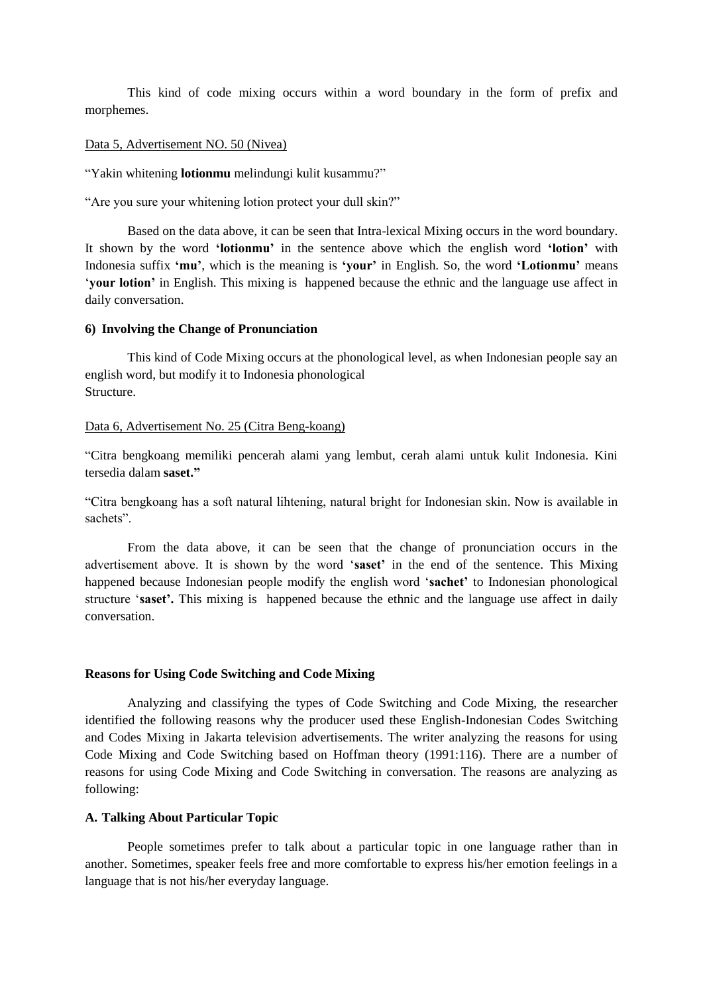This kind of code mixing occurs within a word boundary in the form of prefix and morphemes.

## Data 5, Advertisement NO. 50 (Nivea)

"Yakin whitening **lotionmu** melindungi kulit kusammu?"

"Are you sure your whitening lotion protect your dull skin?"

Based on the data above, it can be seen that Intra-lexical Mixing occurs in the word boundary. It shown by the word **'lotionmu'** in the sentence above which the english word **'lotion'** with Indonesia suffix **'mu'**, which is the meaning is **'your'** in English. So, the word **'Lotionmu'** means '**your lotion'** in English. This mixing is happened because the ethnic and the language use affect in daily conversation.

### **6) Involving the Change of Pronunciation**

This kind of Code Mixing occurs at the phonological level, as when Indonesian people say an english word, but modify it to Indonesia phonological **Structure** 

### Data 6, Advertisement No. 25 (Citra Beng-koang)

"Citra bengkoang memiliki pencerah alami yang lembut, cerah alami untuk kulit Indonesia. Kini tersedia dalam **saset."**

"Citra bengkoang has a soft natural lihtening, natural bright for Indonesian skin. Now is available in sachets".

From the data above, it can be seen that the change of pronunciation occurs in the advertisement above. It is shown by the word '**saset'** in the end of the sentence. This Mixing happened because Indonesian people modify the english word '**sachet'** to Indonesian phonological structure '**saset'.** This mixing is happened because the ethnic and the language use affect in daily conversation.

### **Reasons for Using Code Switching and Code Mixing**

Analyzing and classifying the types of Code Switching and Code Mixing, the researcher identified the following reasons why the producer used these English-Indonesian Codes Switching and Codes Mixing in Jakarta television advertisements. The writer analyzing the reasons for using Code Mixing and Code Switching based on Hoffman theory (1991:116). There are a number of reasons for using Code Mixing and Code Switching in conversation. The reasons are analyzing as following:

### **A. Talking About Particular Topic**

People sometimes prefer to talk about a particular topic in one language rather than in another. Sometimes, speaker feels free and more comfortable to express his/her emotion feelings in a language that is not his/her everyday language.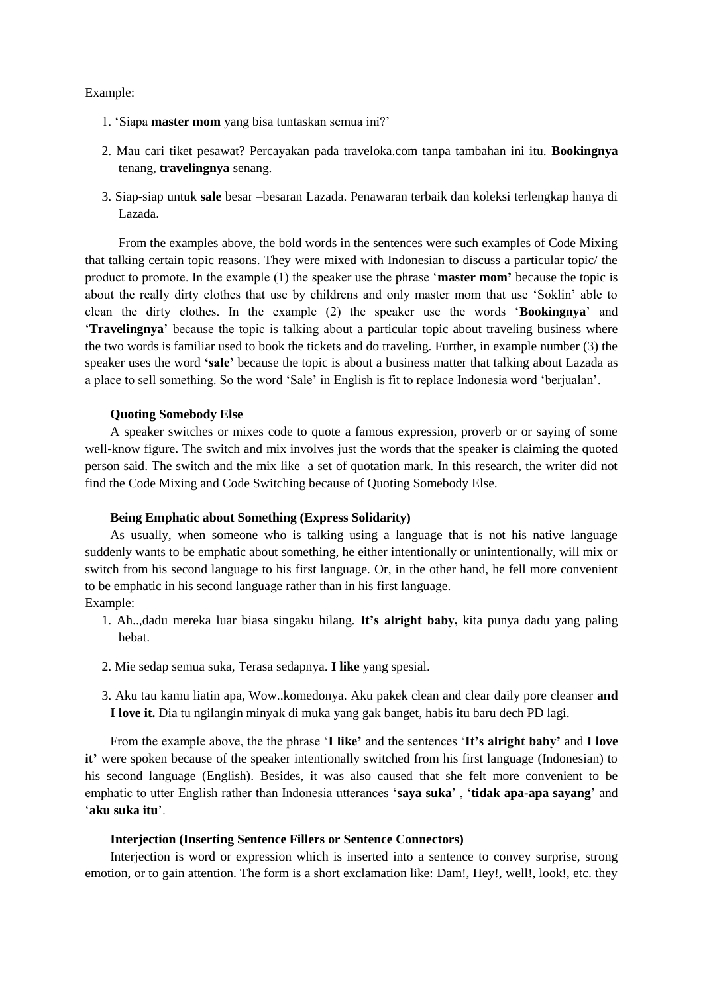### Example:

- 1. 'Siapa **master mom** yang bisa tuntaskan semua ini?'
- 2. Mau cari tiket pesawat? Percayakan pada traveloka.com tanpa tambahan ini itu. **Bookingnya** tenang, **travelingnya** senang.
- 3. Siap-siap untuk **sale** besar –besaran Lazada. Penawaran terbaik dan koleksi terlengkap hanya di Lazada.

From the examples above, the bold words in the sentences were such examples of Code Mixing that talking certain topic reasons. They were mixed with Indonesian to discuss a particular topic/ the product to promote. In the example (1) the speaker use the phrase '**master mom'** because the topic is about the really dirty clothes that use by childrens and only master mom that use 'Soklin' able to clean the dirty clothes. In the example (2) the speaker use the words '**Bookingnya**' and '**Travelingnya**' because the topic is talking about a particular topic about traveling business where the two words is familiar used to book the tickets and do traveling. Further, in example number (3) the speaker uses the word **'sale'** because the topic is about a business matter that talking about Lazada as a place to sell something. So the word 'Sale' in English is fit to replace Indonesia word 'berjualan'.

### **Quoting Somebody Else**

A speaker switches or mixes code to quote a famous expression, proverb or or saying of some well-know figure. The switch and mix involves just the words that the speaker is claiming the quoted person said. The switch and the mix like a set of quotation mark. In this research, the writer did not find the Code Mixing and Code Switching because of Quoting Somebody Else.

### **Being Emphatic about Something (Express Solidarity)**

As usually, when someone who is talking using a language that is not his native language suddenly wants to be emphatic about something, he either intentionally or unintentionally, will mix or switch from his second language to his first language. Or, in the other hand, he fell more convenient to be emphatic in his second language rather than in his first language. Example:

- 1. Ah..,dadu mereka luar biasa singaku hilang. **It's alright baby,** kita punya dadu yang paling hebat.
- 2. Mie sedap semua suka, Terasa sedapnya. **I like** yang spesial.
- 3. Aku tau kamu liatin apa, Wow..komedonya. Aku pakek clean and clear daily pore cleanser **and I love it.** Dia tu ngilangin minyak di muka yang gak banget, habis itu baru dech PD lagi.

From the example above, the the phrase '**I like'** and the sentences '**It's alright baby'** and **I love it'** were spoken because of the speaker intentionally switched from his first language (Indonesian) to his second language (English). Besides, it was also caused that she felt more convenient to be emphatic to utter English rather than Indonesia utterances '**saya suka**' , '**tidak apa-apa sayang**' and '**aku suka itu**'.

### **Interjection (Inserting Sentence Fillers or Sentence Connectors)**

Interjection is word or expression which is inserted into a sentence to convey surprise, strong emotion, or to gain attention. The form is a short exclamation like: Dam!, Hey!, well!, look!, etc. they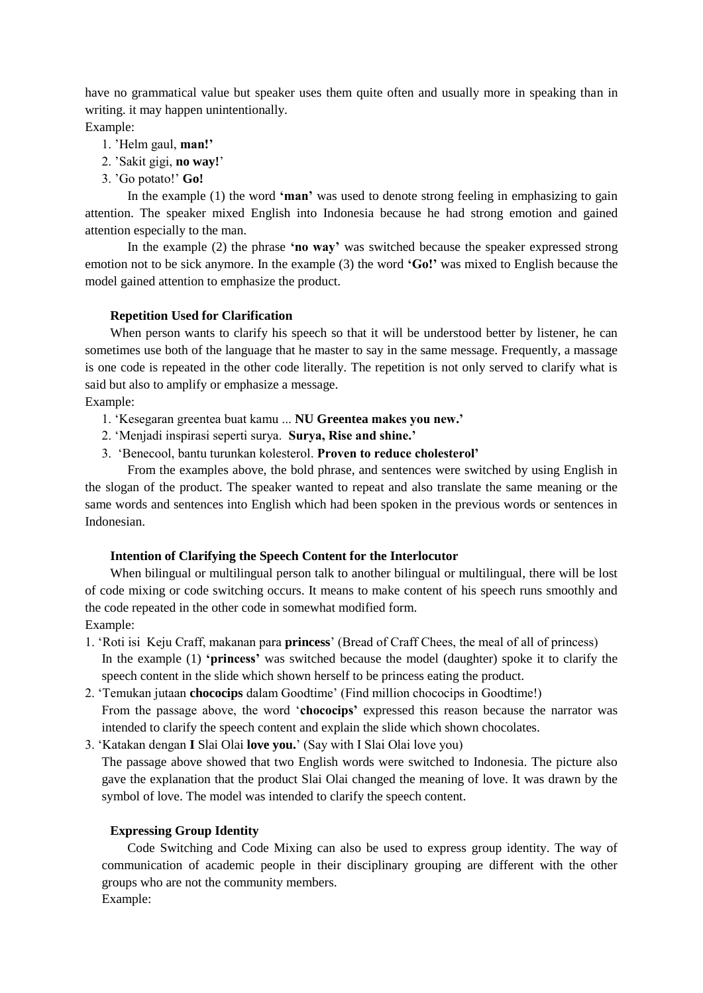have no grammatical value but speaker uses them quite often and usually more in speaking than in writing. it may happen unintentionally.

Example:

- 1. 'Helm gaul, **man!'**
- 2. 'Sakit gigi, **no way!**'
- 3. 'Go potato!' **Go!**

In the example (1) the word **'man'** was used to denote strong feeling in emphasizing to gain attention. The speaker mixed English into Indonesia because he had strong emotion and gained attention especially to the man.

In the example (2) the phrase **'no way'** was switched because the speaker expressed strong emotion not to be sick anymore. In the example (3) the word **'Go!'** was mixed to English because the model gained attention to emphasize the product.

## **Repetition Used for Clarification**

When person wants to clarify his speech so that it will be understood better by listener, he can sometimes use both of the language that he master to say in the same message. Frequently, a massage is one code is repeated in the other code literally. The repetition is not only served to clarify what is said but also to amplify or emphasize a message.

Example:

- 1. 'Kesegaran greentea buat kamu ... **NU Greentea makes you new.'**
- 2. 'Menjadi inspirasi seperti surya. **Surya, Rise and shine.'**
- 3. 'Benecool, bantu turunkan kolesterol. **Proven to reduce cholesterol'**

From the examples above, the bold phrase, and sentences were switched by using English in the slogan of the product. The speaker wanted to repeat and also translate the same meaning or the same words and sentences into English which had been spoken in the previous words or sentences in Indonesian.

### **Intention of Clarifying the Speech Content for the Interlocutor**

When bilingual or multilingual person talk to another bilingual or multilingual, there will be lost of code mixing or code switching occurs. It means to make content of his speech runs smoothly and the code repeated in the other code in somewhat modified form.

Example:

- 1. 'Roti isi Keju Craff, makanan para **princess**' (Bread of Craff Chees, the meal of all of princess) In the example (1) **'princess'** was switched because the model (daughter) spoke it to clarify the speech content in the slide which shown herself to be princess eating the product.
- 2. 'Temukan jutaan **chococips** dalam Goodtime' (Find million chococips in Goodtime!) From the passage above, the word '**chococips'** expressed this reason because the narrator was intended to clarify the speech content and explain the slide which shown chocolates.
- 3. 'Katakan dengan **I** Slai Olai **love you.**' (Say with I Slai Olai love you)

The passage above showed that two English words were switched to Indonesia. The picture also gave the explanation that the product Slai Olai changed the meaning of love. It was drawn by the symbol of love. The model was intended to clarify the speech content.

## **Expressing Group Identity**

Code Switching and Code Mixing can also be used to express group identity. The way of communication of academic people in their disciplinary grouping are different with the other groups who are not the community members.

Example: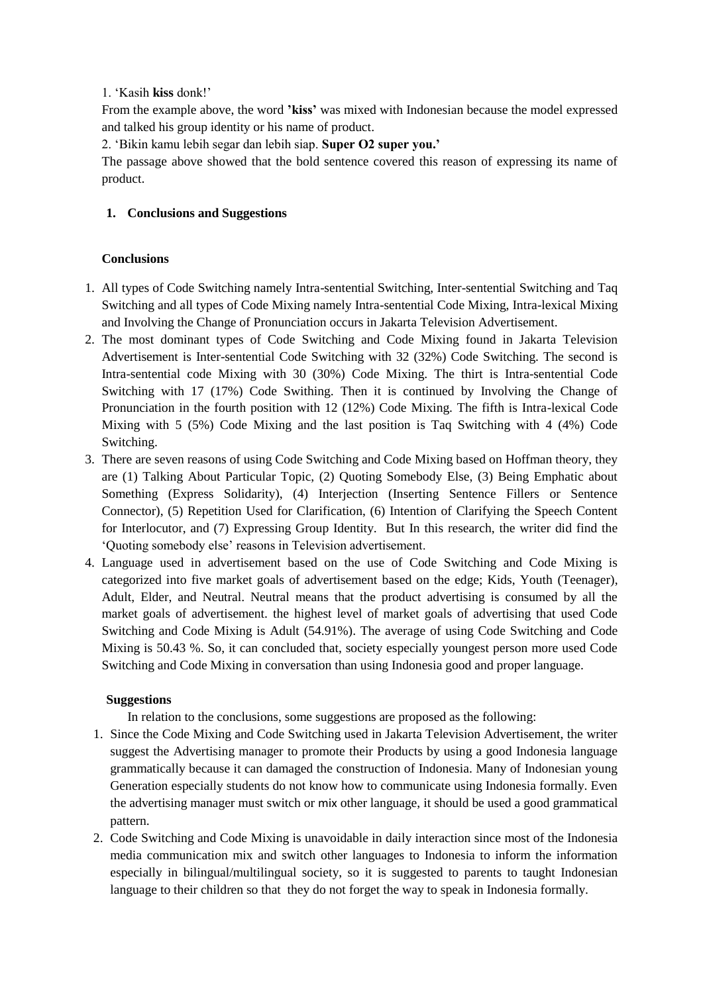## 1. 'Kasih **kiss** donk!'

From the example above, the word **'kiss'** was mixed with Indonesian because the model expressed and talked his group identity or his name of product.

2. 'Bikin kamu lebih segar dan lebih siap. **Super O2 super you.'**

The passage above showed that the bold sentence covered this reason of expressing its name of product.

# **1. Conclusions and Suggestions**

# **Conclusions**

- 1. All types of Code Switching namely Intra-sentential Switching, Inter-sentential Switching and Taq Switching and all types of Code Mixing namely Intra-sentential Code Mixing, Intra-lexical Mixing and Involving the Change of Pronunciation occurs in Jakarta Television Advertisement.
- 2. The most dominant types of Code Switching and Code Mixing found in Jakarta Television Advertisement is Inter-sentential Code Switching with 32 (32%) Code Switching. The second is Intra-sentential code Mixing with 30 (30%) Code Mixing. The thirt is Intra-sentential Code Switching with 17 (17%) Code Swithing. Then it is continued by Involving the Change of Pronunciation in the fourth position with 12 (12%) Code Mixing. The fifth is Intra-lexical Code Mixing with 5 (5%) Code Mixing and the last position is Taq Switching with 4 (4%) Code Switching.
- 3. There are seven reasons of using Code Switching and Code Mixing based on Hoffman theory, they are (1) Talking About Particular Topic, (2) Quoting Somebody Else, (3) Being Emphatic about Something (Express Solidarity), (4) Interjection (Inserting Sentence Fillers or Sentence Connector), (5) Repetition Used for Clarification, (6) Intention of Clarifying the Speech Content for Interlocutor, and (7) Expressing Group Identity. But In this research, the writer did find the 'Quoting somebody else' reasons in Television advertisement.
- 4. Language used in advertisement based on the use of Code Switching and Code Mixing is categorized into five market goals of advertisement based on the edge; Kids, Youth (Teenager), Adult, Elder, and Neutral. Neutral means that the product advertising is consumed by all the market goals of advertisement. the highest level of market goals of advertising that used Code Switching and Code Mixing is Adult (54.91%). The average of using Code Switching and Code Mixing is 50.43 %. So, it can concluded that, society especially youngest person more used Code Switching and Code Mixing in conversation than using Indonesia good and proper language.

# **Suggestions**

In relation to the conclusions, some suggestions are proposed as the following:

- 1. Since the Code Mixing and Code Switching used in Jakarta Television Advertisement, the writer suggest the Advertising manager to promote their Products by using a good Indonesia language grammatically because it can damaged the construction of Indonesia. Many of Indonesian young Generation especially students do not know how to communicate using Indonesia formally. Even the advertising manager must switch or mix other language, it should be used a good grammatical pattern.
- 2. Code Switching and Code Mixing is unavoidable in daily interaction since most of the Indonesia media communication mix and switch other languages to Indonesia to inform the information especially in bilingual/multilingual society, so it is suggested to parents to taught Indonesian language to their children so that they do not forget the way to speak in Indonesia formally.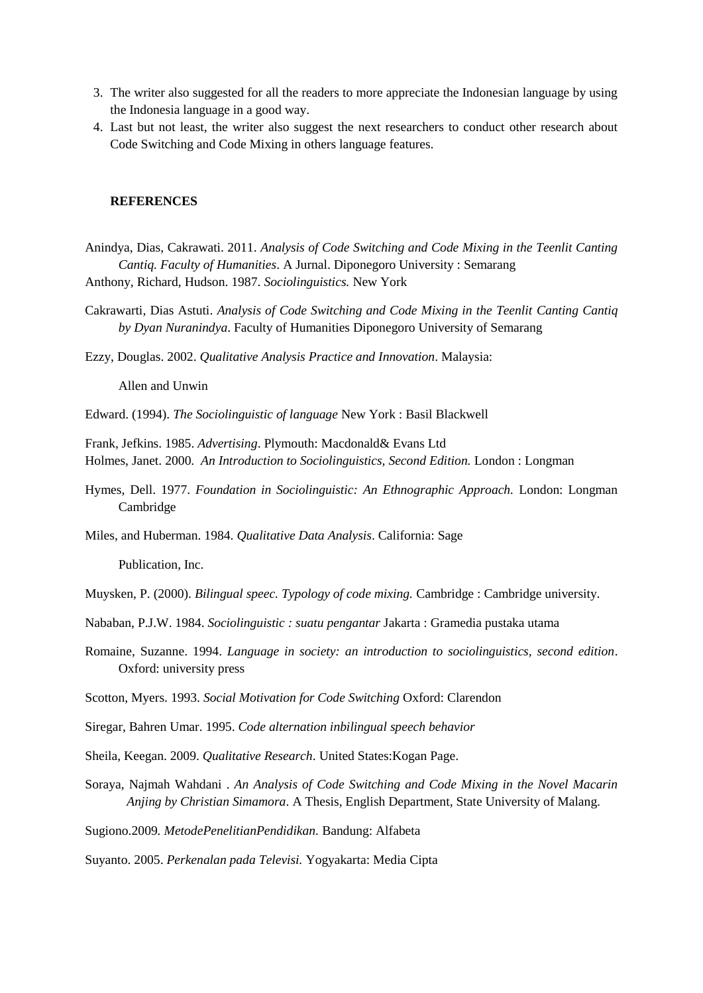- 3. The writer also suggested for all the readers to more appreciate the Indonesian language by using the Indonesia language in a good way.
- 4. Last but not least, the writer also suggest the next researchers to conduct other research about Code Switching and Code Mixing in others language features.

#### **REFERENCES**

- Anindya, Dias, Cakrawati. 2011. *Analysis of Code Switching and Code Mixing in the Teenlit Canting Cantiq. Faculty of Humanities*. A Jurnal. Diponegoro University : Semarang Anthony, Richard, Hudson. 1987. *Sociolinguistics.* New York
- Cakrawarti, Dias Astuti. *Analysis of Code Switching and Code Mixing in the Teenlit Canting Cantiq by Dyan Nuranindya*. Faculty of Humanities Diponegoro University of Semarang

Ezzy, Douglas. 2002. *Qualitative Analysis Practice and Innovation*. Malaysia:

Allen and Unwin

Edward. (1994). *The Sociolinguistic of language* New York : Basil Blackwell

Frank, Jefkins. 1985. *Advertising*. Plymouth: Macdonald& Evans Ltd Holmes, Janet. 2000. *An Introduction to Sociolinguistics, Second Edition.* London : Longman

Hymes, Dell. 1977. *Foundation in Sociolinguistic: An Ethnographic Approach.* London: Longman Cambridge

Miles, and Huberman. 1984. *Qualitative Data Analysis*. California: Sage

Publication, Inc.

Muysken, P. (2000). *Bilingual speec. Typology of code mixing.* Cambridge : Cambridge university.

- Nababan, P.J.W. 1984. *Sociolinguistic : suatu pengantar* Jakarta : Gramedia pustaka utama
- Romaine, Suzanne. 1994. *Language in society: an introduction to sociolinguistics, second edition*. Oxford: university press

Scotton, Myers. 1993. *Social Motivation for Code Switching* Oxford: Clarendon

Siregar, Bahren Umar. 1995. *Code alternation inbilingual speech behavior*

- Sheila, Keegan. 2009. *Qualitative Research*. United States:Kogan Page.
- Soraya, Najmah Wahdani . *An Analysis of Code Switching and Code Mixing in the Novel Macarin Anjing by Christian Simamora*. A Thesis, English Department, State University of Malang.

Sugiono.2009*. MetodePenelitianPendidikan.* Bandung: Alfabeta

Suyanto. 2005. *Perkenalan pada Televisi.* Yogyakarta: Media Cipta